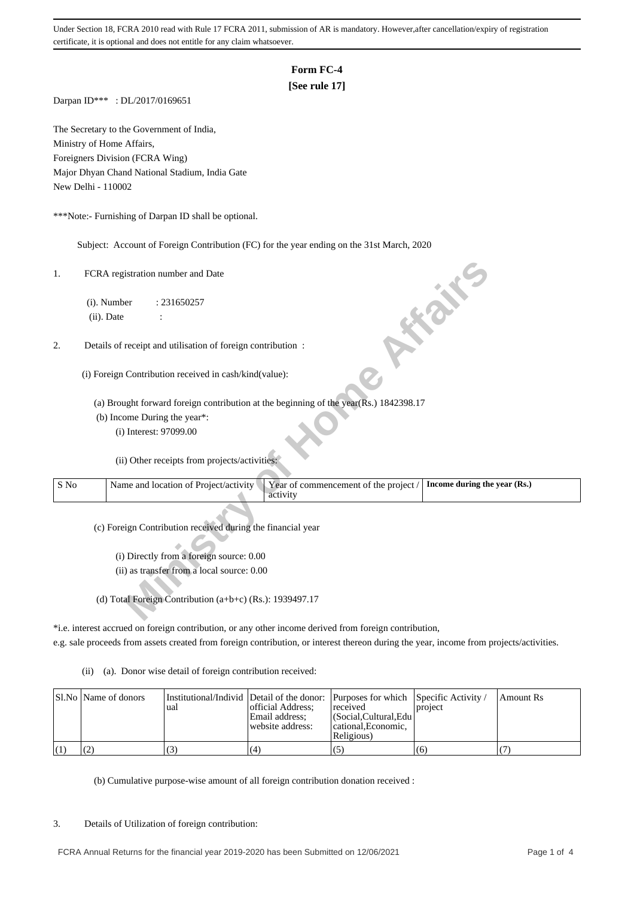# **Form FC-4**

# **[See rule 17]**

Darpan ID\*\*\* : DL/2017/0169651

The Secretary to the Government of India, Ministry of Home Affairs, Foreigners Division (FCRA Wing) Major Dhyan Chand National Stadium, India Gate New Delhi - 110002

\*\*\*Note:- Furnishing of Darpan ID shall be optional.

Subject: Account of Foreign Contribution (FC) for the year ending on the 31st March, 2020

| 1.   | FCRA registration number and Date<br>ish.                                                                                  |
|------|----------------------------------------------------------------------------------------------------------------------------|
|      | (i). Number<br>: 231650257                                                                                                 |
|      | (ii). Date                                                                                                                 |
|      |                                                                                                                            |
| 2.   | Details of receipt and utilisation of foreign contribution :                                                               |
|      | (i) Foreign Contribution received in cash/kind(value):                                                                     |
|      | (a) Brought forward foreign contribution at the beginning of the year (Rs.) 1842398.17                                     |
|      | (b) Income During the year*:                                                                                               |
|      | (i) Interest: 97099.00                                                                                                     |
|      | (ii) Other receipts from projects/activities:                                                                              |
| S No | Name and location of Project/activity<br>Year of commencement of the project /<br>Income during the year (Rs.)<br>activity |
|      | (c) Foreign Contribution received during the financial year                                                                |
|      | (i) Directly from a foreign source: 0.00                                                                                   |
|      | (ii) as transfer from a local source: 0.00                                                                                 |
|      |                                                                                                                            |
|      | (d) Total Foreign Contribution (a+b+c) (Rs.): 1939497.17                                                                   |

\*i.e. interest accrued on foreign contribution, or any other income derived from foreign contribution,

e.g. sale proceeds from assets created from foreign contribution, or interest thereon during the year, income from projects/activities.

(ii) (a). Donor wise detail of foreign contribution received:

| SI.No   Name of donors | ual | official Address:<br>Email address:<br>website address: | Institutional/Individ Detail of the donor: Purposes for which Specific Activity /<br>received<br>  (Social.Cultural.Edu)<br>cational. Economic.<br>Religious) | project | Amount Rs |
|------------------------|-----|---------------------------------------------------------|---------------------------------------------------------------------------------------------------------------------------------------------------------------|---------|-----------|
|                        | د ا | (4)                                                     | (5)                                                                                                                                                           | (6)     |           |

(b) Cumulative purpose-wise amount of all foreign contribution donation received :

### 3. Details of Utilization of foreign contribution: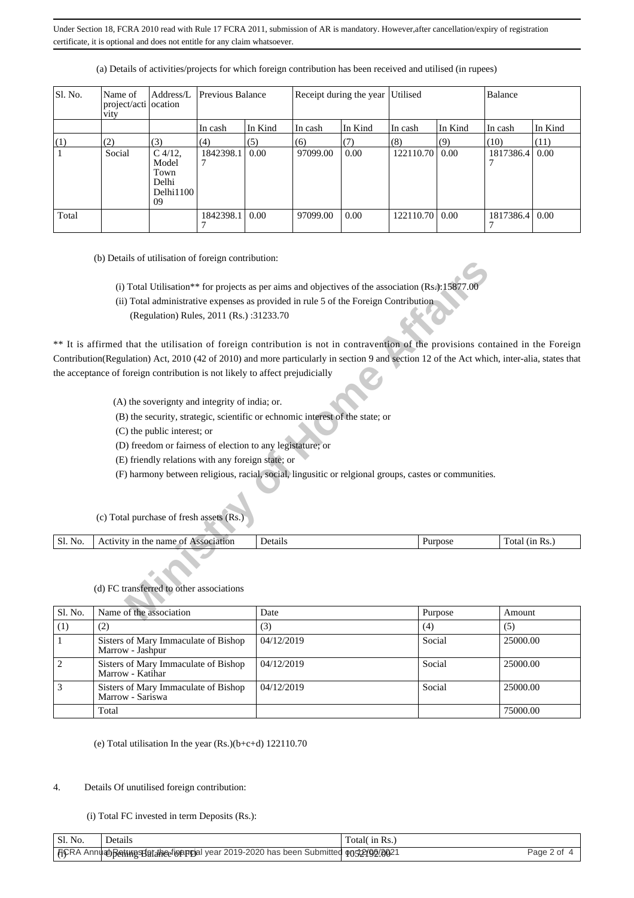| Sl. No. | Name of<br>project/acti ocation<br>vity | Address/L                                              | Previous Balance |         |          | Receipt during the year Utilised |                  |         | Balance   |         |
|---------|-----------------------------------------|--------------------------------------------------------|------------------|---------|----------|----------------------------------|------------------|---------|-----------|---------|
|         |                                         |                                                        | In cash          | In Kind | In cash  | In Kind                          | $\ln \cosh$      | In Kind | In cash   | In Kind |
| (1)     | (2)                                     | (3)                                                    | (4)              | (5)     | (6)      | (7)                              | (8)              | (9)     | (10)      | (11)    |
|         | Social                                  | $C$ 4/12,<br>Model<br>Town<br>Delhi<br>Delhi1100<br>09 | 1842398.1        | 0.00    | 97099.00 | 0.00                             | 122110.70   0.00 |         | 1817386.4 | 0.00    |
| Total   |                                         |                                                        | 1842398.1        | 0.00    | 97099.00 | 0.00                             | 122110.70   0.00 |         | 1817386.4 | 0.00    |

(a) Details of activities/projects for which foreign contribution has been received and utilised (in rupees)

(b) Details of utilisation of foreign contribution:

- (i) Total Utilisation\*\* for projects as per aims and objectives of the association  $(Rs.)$ :15877.0
- (ii) Total administrative expenses as provided in rule 5 of the Foreign Contribution
	- (Regulation) Rules, 2011 (Rs.) :31233.70

**Missimal Constrained Constrained Constrained Constrained Constrained Constrained Constrained Constrained Constrained Constrained Constrained Constrained Constrained Constrained Constrained Constrained Constrained Constrai** \*\* It is affirmed that the utilisation of foreign contribution is not in contravention of the provisions contained in the Foreign Contribution(Regulation) Act, 2010 (42 of 2010) and more particularly in section 9 and section 12 of the Act which, inter-alia, states that the acceptance of foreign contribution is not likely to affect prejudicially

- (A) the soverignty and integrity of india; or.
- (B) the security, strategic, scientific or echnomic interest of the state; or
- (C) the public interest; or
- (D) freedom or fairness of election to any legistature; or
- (E) friendly relations with any foreign state; or
- (F) harmony between religious, racial, social, lingusitic or relgional groups, castes or communities.

| Sl.<br>No. | name of<br>Association<br>1 <sub>D</sub><br>the<br>IVILV | etails | *DOSC | 1n<br>ota.<br>KS. |
|------------|----------------------------------------------------------|--------|-------|-------------------|

## (d) FC transferred to other associations

(c) Total purchase of fresh assets (Rs.)

| Sl. No. | Name of the association                                  | Date       | Purpose | Amount   |
|---------|----------------------------------------------------------|------------|---------|----------|
| (1)     | (2)                                                      | (3)        | (4)     | (5)      |
|         | Sisters of Mary Immaculate of Bishop<br>Marrow - Jashpur | 04/12/2019 | Social  | 25000.00 |
|         | Sisters of Mary Immaculate of Bishop<br>Marrow - Katihar | 04/12/2019 | Social  | 25000.00 |
|         | Sisters of Mary Immaculate of Bishop<br>Marrow - Sariswa | 04/12/2019 | Social  | 25000.00 |
|         | Total                                                    |            |         | 75000.00 |

(e) Total utilisation In the year  $(Rs.)(b+c+d)$  122110.70

## 4. Details Of unutilised foreign contribution:

## (i) Total FC invested in term Deposits (Rs.):

| ' Sl. No. | details.                                                                                 | Total in Rs |           |
|-----------|------------------------------------------------------------------------------------------|-------------|-----------|
|           | [TCRA Annuan] Rent Mash Tarah (անության year 2019-2020 has been Submitted on 5/2/00/0021 |             | Page 2 of |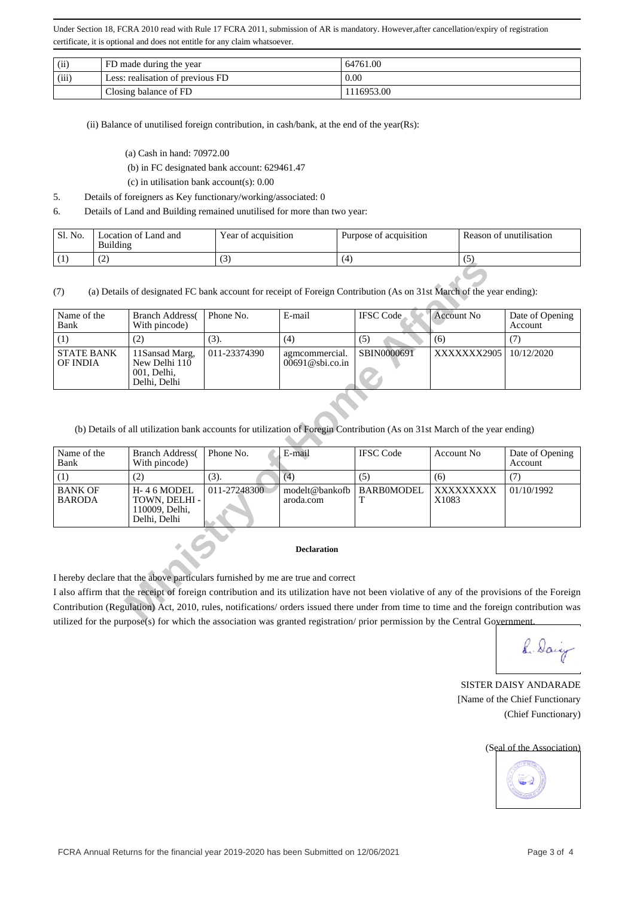| (ii)  | FD made during the year          | 64761.00   |
|-------|----------------------------------|------------|
| (iii) | Less: realisation of previous FD | 0.00       |
|       | Closing balance of FD            | 1116953.00 |

(ii) Balance of unutilised foreign contribution, in cash/bank, at the end of the year(Rs):

- (a) Cash in hand: 70972.00
- (b) in FC designated bank account: 629461.47
- (c) in utilisation bank account(s): 0.00
- 5. Details of foreigners as Key functionary/working/associated: 0
- 6. Details of Land and Building remained unutilised for more than two year:

| (1)<br>64<br>ر ا<br>ॱ∸ | Sl. No. | ocation of Land and<br>Building | Year of acquisition | Purpose of acquisition | Reason of unutilisation |
|------------------------|---------|---------------------------------|---------------------|------------------------|-------------------------|
|                        |         |                                 |                     |                        |                         |

| (1)<br>(4)                                                                                                                                                                                             |                                                                | $\cup$       | (7)                                                                                                                                        |                  | $\cup$            |                            |  |  |  |
|--------------------------------------------------------------------------------------------------------------------------------------------------------------------------------------------------------|----------------------------------------------------------------|--------------|--------------------------------------------------------------------------------------------------------------------------------------------|------------------|-------------------|----------------------------|--|--|--|
| (7)                                                                                                                                                                                                    |                                                                |              | (a) Details of designated FC bank account for receipt of Foreign Contribution (As on 31st March of the year ending):                       |                  |                   |                            |  |  |  |
| Name of the<br>Bank                                                                                                                                                                                    | <b>Branch Address</b><br>With pincode)                         | Phone No.    | E-mail                                                                                                                                     | <b>IFSC</b> Code | <b>Account No</b> | Date of Opening<br>Account |  |  |  |
| (1)                                                                                                                                                                                                    | (2)                                                            | (3).         | (4)                                                                                                                                        | (5)              | (6)               | (7)                        |  |  |  |
| <b>STATE BANK</b><br><b>OF INDIA</b>                                                                                                                                                                   | 11Sansad Marg,<br>New Delhi 110<br>001, Delhi,<br>Delhi, Delhi | 011-23374390 | agmcommercial.<br>$00691@$ sbi.co.in                                                                                                       | SBIN0000691      | XXXXXXX2905       | 10/12/2020                 |  |  |  |
| Name of the                                                                                                                                                                                            | <b>Branch Address</b>                                          | Phone No.    | (b) Details of all utilization bank accounts for utilization of Foregin Contribution (As on 31st March of the year ending)<br>E-mail       | <b>IFSC</b> Code | <b>Account No</b> | Date of Opening            |  |  |  |
| Bank<br>With pincode)<br>Account                                                                                                                                                                       |                                                                |              |                                                                                                                                            |                  |                   |                            |  |  |  |
| (4)<br>(3).<br>(1)<br>(5)<br>(7)<br>(2)<br>(6)                                                                                                                                                         |                                                                |              |                                                                                                                                            |                  |                   |                            |  |  |  |
| <b>BANK OF</b><br>011-27248300<br>H-46 MODEL<br>modelt@bankofb<br>BARB0MODEL<br>XXXXXXXXX<br>01/10/1992<br><b>BARODA</b><br>TOWN, DELHI -<br>Т<br>X1083<br>aroda.com<br>110009, Delhi,<br>Delhi, Delhi |                                                                |              |                                                                                                                                            |                  |                   |                            |  |  |  |
|                                                                                                                                                                                                        |                                                                |              | <b>Declaration</b>                                                                                                                         |                  |                   |                            |  |  |  |
|                                                                                                                                                                                                        |                                                                |              | I hereby declare that the above particulars furnished by me are true and correct                                                           |                  |                   |                            |  |  |  |
|                                                                                                                                                                                                        |                                                                |              | I also affirm that the receipt of foreign contribution and its utilization have not been violative of any of the provisions of the Foreign |                  |                   |                            |  |  |  |
|                                                                                                                                                                                                        |                                                                |              | Contribution (Regulation) Act, 2010, rules, notifications/ orders issued there under from time to time and the foreign contribution was    |                  |                   |                            |  |  |  |
|                                                                                                                                                                                                        |                                                                |              | utilized for the numeral story which the execution wes grouted registration survivation by the Control Covernment                          |                  |                   |                            |  |  |  |

| Name of the<br>Bank             | <b>Branch Address</b><br>With pincode)                            | Phone No.        | E-mail                      | <b>IFSC</b> Code | Account No         | Date of Opening<br>Account |
|---------------------------------|-------------------------------------------------------------------|------------------|-----------------------------|------------------|--------------------|----------------------------|
|                                 | (2)                                                               | (3).             | (4.                         | (5)              | (6)                |                            |
| <b>BANK OF</b><br><b>BARODA</b> | $H - 46$ MODEL<br>TOWN, DELHI -<br>110009. Delhi.<br>Delhi, Delhi | $011 - 27248300$ | modelt@bankofb<br>aroda.com | BARB0MODEL       | XXXXXXXXX<br>X1083 | 01/10/1992                 |

#### **Declaration**

I also affirm that the receipt of foreign contribution and its utilization have not been violative of any of the provisions of the Foreign Contribution (Regulation) Act, 2010, rules, notifications/ orders issued there under from time to time and the foreign contribution was utilized for the purpose(s) for which the association was granted registration/ prior permission by the Central Government

8. Dairy

SISTER DAISY ANDARADE [Name of the Chief Functionary (Chief Functionary)